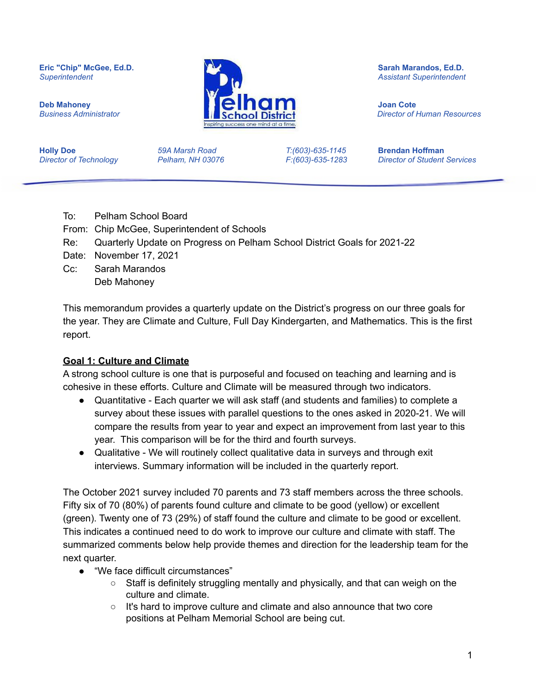**Holly Doe** *59A Marsh Road T:(603)-635-1145* **Brendan Hoffman** *Director of Technology Pelham, NH 03076 F:(603)-635-1283 Director of Student Services*

**Eric "Chip" McGee, Ed.D. Sarah Marandos, Ed.D.** *Superintendent Assistant Superintendent* **Deb Mahoney South Contract Contract Contract Contract Contract Contract Contract Contract Contract Contract Contract Contract Contract Contract Contract Contract Contract Contract Contract Contract Contract Contract Contr** *Business Administrator Director of Human Resources*

- To: Pelham School Board
- From: Chip McGee, Superintendent of Schools
- Re: Quarterly Update on Progress on Pelham School District Goals for 2021-22
- Date: November 17, 2021
- Cc: Sarah Marandos Deb Mahoney

This memorandum provides a quarterly update on the District's progress on our three goals for the year. They are Climate and Culture, Full Day Kindergarten, and Mathematics. This is the first report.

## **Goal 1: Culture and Climate**

A strong school culture is one that is purposeful and focused on teaching and learning and is cohesive in these efforts. Culture and Climate will be measured through two indicators.

- Quantitative Each quarter we will ask staff (and students and families) to complete a survey about these issues with parallel questions to the ones asked in 2020-21. We will compare the results from year to year and expect an improvement from last year to this year. This comparison will be for the third and fourth surveys.
- Qualitative We will routinely collect qualitative data in surveys and through exit interviews. Summary information will be included in the quarterly report.

The October 2021 survey included 70 parents and 73 staff members across the three schools. Fifty six of 70 (80%) of parents found culture and climate to be good (yellow) or excellent (green). Twenty one of 73 (29%) of staff found the culture and climate to be good or excellent. This indicates a continued need to do work to improve our culture and climate with staff. The summarized comments below help provide themes and direction for the leadership team for the next quarter.

- "We face difficult circumstances"
	- Staff is definitely struggling mentally and physically, and that can weigh on the culture and climate.
	- It's hard to improve culture and climate and also announce that two core positions at Pelham Memorial School are being cut.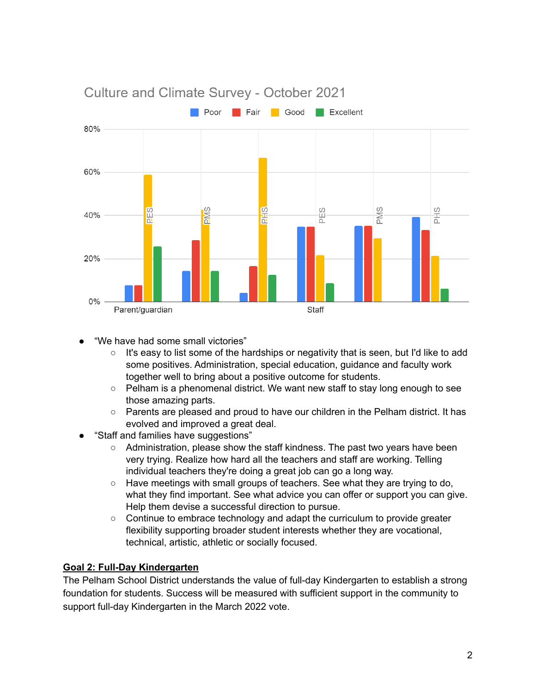

- "We have had some small victories"
	- It's easy to list some of the hardships or negativity that is seen, but I'd like to add some positives. Administration, special education, guidance and faculty work together well to bring about a positive outcome for students.
	- $\circ$  Pelham is a phenomenal district. We want new staff to stay long enough to see those amazing parts.
	- $\circ$  Parents are pleased and proud to have our children in the Pelham district. It has evolved and improved a great deal.
- "Staff and families have suggestions"
	- Administration, please show the staff kindness. The past two years have been very trying. Realize how hard all the teachers and staff are working. Telling individual teachers they're doing a great job can go a long way.
	- Have meetings with small groups of teachers. See what they are trying to do, what they find important. See what advice you can offer or support you can give. Help them devise a successful direction to pursue.
	- $\circ$  Continue to embrace technology and adapt the curriculum to provide greater flexibility supporting broader student interests whether they are vocational, technical, artistic, athletic or socially focused.

## **Goal 2: Full-Day Kindergarten**

The Pelham School District understands the value of full-day Kindergarten to establish a strong foundation for students. Success will be measured with sufficient support in the community to support full-day Kindergarten in the March 2022 vote.